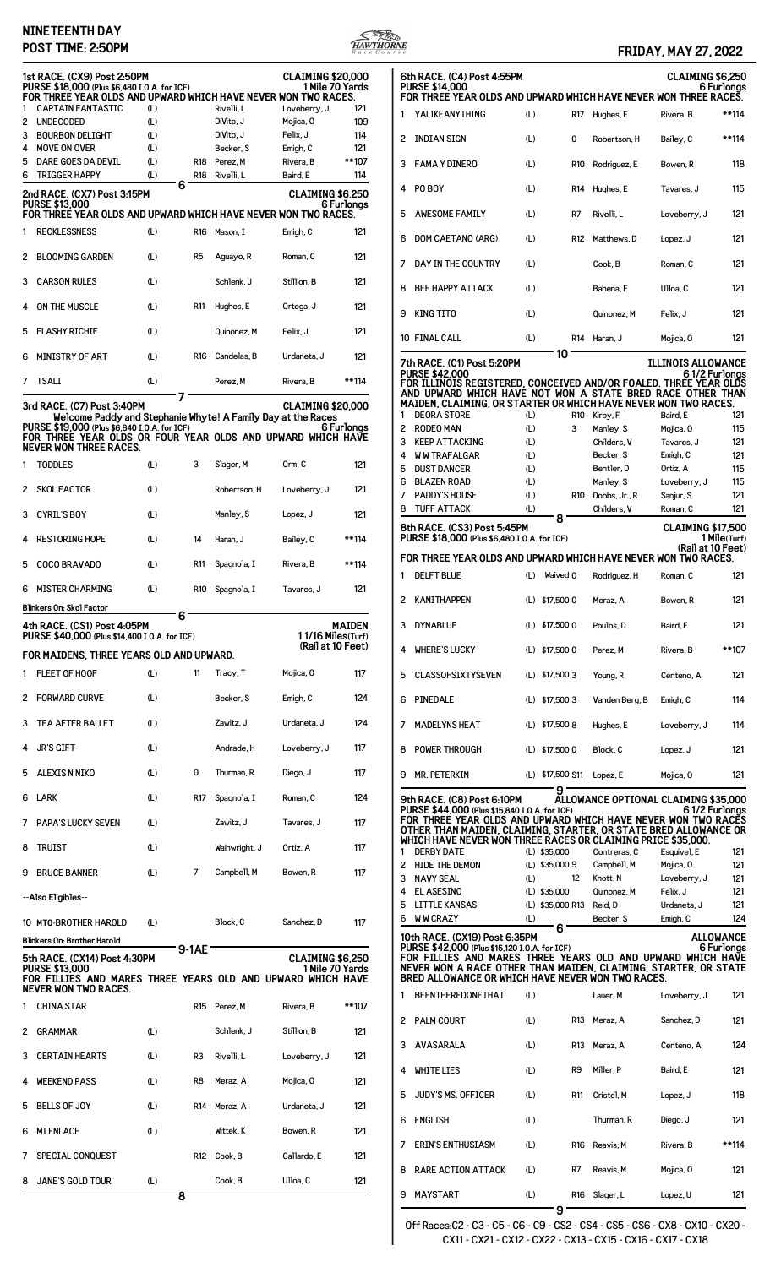### **NINETEENTH DAY POST TIME: 2:50PM FRIDAY, MAY 27, 2022**



## 2 INDIAN SIGN (L) 0 Robertson, H Bailey, C \*\*114 3 FAMA Y DINERO (L) R10 Rodriguez, E Bowen, R 118 4 PO BOY (L) R14 Hughes, E Tavares, J 115 5 AWESOME FAMILY (L) R7 Rivelli, L Loveberry, J 121 6 DOM CAETANO (ARG) (L) R12 Matthews, D Lopez, J 121 7 DAY IN THE COUNTRY (L) Cook, B Roman, C 121 8 BEE HAPPY ATTACK (L) Bahena, F Ulloa, C 121 9 KING TITO (L) Quinonez, M Felix, J 121 10 FINAL CALL (L) R14 Haran, J Mojica, O 121 **10 7th RACE. (C1) Post 5:20PM ILLINOIS ALLOWANCE** 6 1/2 Furlongs<br>FOR ILLINOIS REGISTERED, CONCEIVED AND/OR FOALED. THREE YEAR OLDS<br>AND UPWARD WHICH HAVE NOT WON A STATE BRED RACE OTHER THAN<br>MAIDEN, CLAIMING, OR STARTER OR WHICH HAVE NEVER WON TWO RACES. 1 DEORA STORE (L) R10 Kirby, F Baird, E 121 2 RODEO MAN (L) 3 Manley, S Mojica, O 115 3 KEEP ATTACKING (L) Childers, V Tavares, J 121 4 WW TRAFALGAR (L) Becker, S Emigh, C 121 5 DUST DANCER (L) Bentler, D Ortiz, A 115 6 BLAZEN ROAD (L) Manley, S Loveberry, J 115 7 PADDY'S HOUSE (L) R10 Dobbs, Jr., R Sanjur, S 121 8 TUFF ATTACK (L) Childers, V Roman, C 121 **8 8th RACE. (CS3) Post 5:45PM CLAIMING \$17,500<br>PURSE \$18,000 (Plus \$6.480 I.O.A. for ICF) CLAIMING \$18,000 1 Mile(Turf) PURSE \$18,000 (Plus \$6,480 I.O.A. for ICF) 1 Mile(Turf) (Rail at 10 Feet) FOR THREE YEAR OLDS AND UPWARD WHICH HAVE NEVER WON TWO RACES.** 1 DELFT BLUE (L) Waived 0 Rodriguez, H Roman, C 121 2 KANITHAPPEN (L) \$17,500 0 Meraz, A Bowen, R 121 3 DYNABLUE (L) \$17,500 0 Poulos, D Baird, E 121 4 WHERE'S LUCKY (L) \$17,500 0 Perez, M Rivera, B \*\*107 5 CLASSOFSIXTYSEVEN (L) \$17,500 3 Young, R Centeno, A 121 6 PINEDALE (L) \$17,500 3 Vanden Berg, B Emigh, C 114 7 MADELYNS HEAT (L) \$17,500 8 Hughes, E Loveberry, J 114 8 POWER THROUGH (L) \$17,500 0 Block, C Lopez, J 121 9 MR. PETERKIN (L) \$17,500 S11 Lopez, E Mojica, O 121 ALLOWANCE OPTIONAL CLAIMING \$35,000 **9th RACE. (C8) Post 6:10PM ALLOWANCE OPTIONAL CLAIMING \$35,000** 6 1/2 Furlongs \$15,840 I.0.A. for ICF)<br>FOR THREE YEAR OLDS AND UPWARD WHICH HAVE NEVER WON TWO RACES<br>OTHER THAN MAIDEN, CLAIMING, STARTER, OR STATE BRED ALLOWANCE OR<br>WHICH HAVE NEVER WON THREE RACES OR CLAIMING PRICE \$35, 1 DERBY DATE (L) \$35,000 Contreras, C Esquivel, E 121 2 HIDE THE DEMON (L) \$35,000 9 Campbell, M Mojica, O 121 3 NAVY SEAL (L) 12 Knott, N Loveberry, J 121<br>4 EL ASESINO (L) \$35,000 Quinonez, M Felix, J 121 4 EL ASESINO (L) \$35,000 Quinonez, M Felix, J 121 5 LITTLE KANSAS (L) \$35,000 R13 Reid, D Urdaneta, J 121 6 WW CRAZY (L) Becker, S Emigh, C 124 **6** 10th RACE. (CX19) Post 6:35PM **CONTEX 10th RACE** 6 Furlongs (1842,000 (Plus \$15,120 I.O.A. for ICF)<br>FOR FILLIES AND MARES THREE YEARS OLD AND UPWARD WHICH HAVE<br>NEVER WON A RACE OTHER THAN MAIDEN, CLAIMING, STARTER, OR STATE<br>BRED ALLOWANCE OR WHICH HAVE NEVER WON TWO RACE BEENTHEREDONETHAT (L) Lauer, M Loveberry, J 121 2 PALM COURT (L) R13 Meraz, A Sanchez, D 121 3 AVASARALA (L) R13 Meraz, A Centeno, A 124 4 WHITE LIES (L) R9 Miller, P Baird, E 121 5 JUDY'S MS. OFFICER (L) R11 Cristel, M Lopez, J 118

**6th RACE. (C4) Post 4:55PM CLAIMING \$6,250 PURSE \$14,000 6 Furlongs FOR THREE YEAR OLDS AND UPWARD WHICH HAVE NEVER WON THREE RACES.** YALIKEANYTHING (L) R17 Hughes, E Rivera, B \*\*114

Off Races:C2 - C3 - C5 - C6 - C9 - CS2 - CS4 - CS5 - CS6 - CX8 - CX10 - CX20 - CX11 - CX21 - CX12 - CX22 - CX13 - CX15 - CX16 - CX17 - CX18

6 ENGLISH (L) Thurman, R Diego, J 121 7 ERIN'S ENTHUSIASM (L) R16 Reavis, M Rivera, B \*\*114

8 RARE ACTION ATTACK (L) R7 Reavis, M Mojica, 0 121

9 MAYSTART (L) R16 Slager, L Lopez, U 121 **9**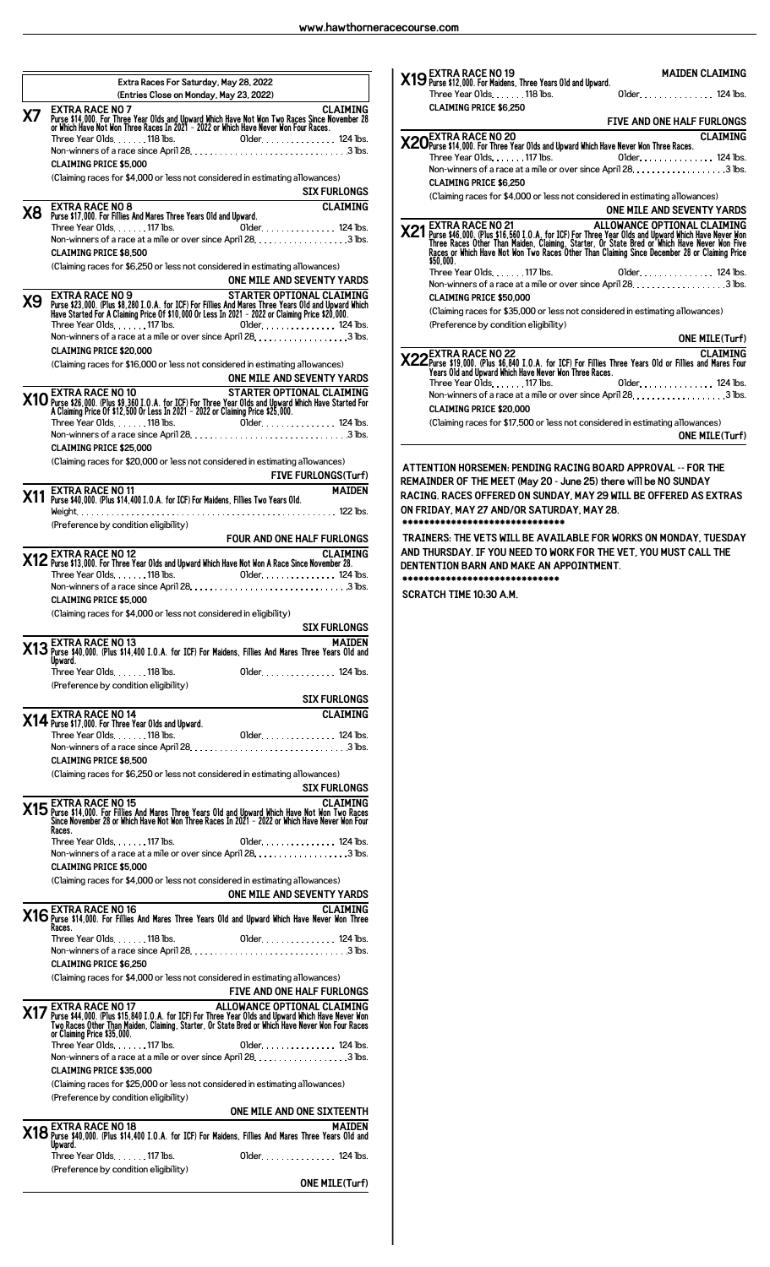**Extra Races For Saturday, May 28, 2022 (Entries Close on Monday, May 23, 2022) X7** EXTRA RACE NO 7<br>Purse \$14,000. For Three Year Olds and Upward Which Have Not Won Two Races Since November 28<br>or Which Have Not Won Three Races In 2021 - 2022 or Which Have Never Won Four Races.  $\mathsf{Three\, Year\,0}$ lds.  $\dots \dots \mathsf{118}$  lbs.  $\qquad \qquad \mathsf{Older}\dots \dots \dots \dots \mathsf{124}$  lbs. Non-winners of a race since April 28.  $\dots\dots\dots\dots\dots\dots\dots\dots\dots$ . 3 lbs. **CLAIMING PRICE \$5,000** (Claiming races for \$4,000 or less not considered in estimating allowances) **SIX FURLONGS X8 EXTRA RACE NO 8 CLAIMING +

 , -**   $\mathsf{Three\, Year\,0lds}\ \ldots\ \ldots\ \mathsf{117\,lbs}\ \ldots\ \mathsf{124\,lbs}.$ Non-winners of a race at a mile or over since April 28. . . . . . . . . . . . . . . . . . 3 lbs. **CLAIMING PRICE \$8,500** (Claiming races for \$6,250 or less not considered in estimating allowances) **ONE MILE AND SEVENTY YARDS** STARTER OPTIONAL CLAIMING<br>Purse \$23,000. (Plus \$8,280 I.O.A. for ICF) For Fillies And Mares Three Years Old and Upward Which<br>Have Started For A Claiming Price Of \$10,000 Or Less In 2021 – 2022 or Claiming Price \$20,000.  $\mathsf{Three\, Year\,0}$ lds.  $\dots\ldots\mathsf{117\,lbs}.$  Older $\dots\ldots\ldots\mathsf{124\,lbs}.$ Non-winners of a race at a mile or over since April 28.  $\ldots \ldots \ldots \ldots \ldots 3$  lbs. **CLAIMING PRICE \$20,000** (Claiming races for \$16,000 or less not considered in estimating allowances) **ONE MILE AND SEVENTY YARDS** STARTER OPTIONAL CLAIMING<br>A Claiming Price 0f \$12,500 Or Less In 2021 - 2022 or Claiming Price \$25,000.<br>A Claiming Price 0f \$12,500 Or Less In 2021 - 2022 or Claiming Price \$25,000. Three Year Olds 118 lbs. Older 124 lbs. Non-winners of a race since April 28 3 lbs. **CLAIMING PRICE \$25,000** (Claiming races for \$20,000 or less not considered in estimating allowances) **FIVE FURLONGS(Turf) X11 EXTRA RACE NO 11 MAIDEN 

/ 

 ), 0 )12 -**  Weight 122 lbs. (Preference by condition eligibility) **FOUR AND ONE HALF FURLONGS X12** EXTRA RACE NO 12<br>**X12** Purse \$13,000. For Three Year Olds and Upward Which Have Not Won A Race Since November 28. Three Year Olds . . . . . . . 118 lbs. 01der . . . . . . . . . . . . . . . . . 124 lbs. Non-winners of a race since April 28 3 lbs. **CLAIMING PRICE \$5,000** (Claiming races for \$4,000 or less not considered in eligibility) **SIX FURLONGS X13** EXTRA RACE NO 13<br>Upward. (Plus \$14,400 I.O.A. for ICF) For Maidens, Fillies And Mares Three Years Old and<br>Upward. Three Year Olds 118 lbs. Older 124 lbs. (Preference by condition eligibility) **SIX FURLONGS X14 EXTRA RACE NO 14 CLAIMING +**  raise vir, worren inservance our one and one on the case of the contract of the Vear Older . . . . . . . . . . . . . . 124 lbs. Non-winners of a race since April 28.  $\dots\dots\dots\dots\dots\dots\dots\dots\dots$ . 3 lbs. **CLAIMING PRICE \$8,500** (Claiming races for \$6,250 or less not considered in estimating allowances) **SIX FURLONGS** CLAIMING<br>Since November 28 or Fillies And Mares Three Years Old and Upward Which Have Not Won Two Races<br>Since November 28 or Which Have Not Won Three Races In 2021 - 2022 or Which Have Never Won Four **Races.**<br>**Races.**<br>Three Year Olds. . . . . . . 117 lbs.  $Older$  . . . . . . . . . . . . . . 124 lbs. Non-winners of a race at a mile or over since April 28.  $\dots\dots\dots\dots\dots$  3 lbs. **CLAIMING PRICE \$5,000** (Claiming races for \$4,000 or less not considered in estimating allowances) **ONE MILE AND SEVENTY YARDS X16EXTRA RACE NO 16 CLAIMING 

 , - ! #** Three Year Olds 118 lbs. Older 124 lbs. Non-winners of a race since April 28.  $\dots\dots\dots\dots\dots\dots\dots\dots\dots$ . 3 lbs. **CLAIMING PRICE \$6,250** (Claiming races for \$4,000 or less not considered in estimating allowances) **FIVE AND ONE HALF FURLONGS X17** Purse \$44,000. (Plus \$15,840 I.O.A. for ICF) For Three Year Olds and Upward Which Have Never Won or CLAIMING<br>Two Races Other Than Maiden, Claiming, Starter, Or State Bred or Which Have Never Won Four Races<br>or Claimin Three Year Olds.  $\dots$  117 lbs.  $\qquad \qquad$  Older  $\dots \dots \dots \dots$  124 lbs. Non-winners of a race at a mile or over since April 28.  $\dots\dots\dots\dots\dots$  3 lbs. **CLAIMING PRICE \$35,000** (Claiming races for \$25,000 or less not considered in estimating allowances) (Preference by condition eligibility) **ONE MILE AND ONE SIXTEENTH X18** EXTRA RACE NO 18<br>**X18** Purse \$40,000. (Plus \$14,400 I.O.A. for ICF) For Maidens, Fillies And Mares Three Years Old and **Upward.**<br>Three Year Olds. . . . . . . 117 lbs. 01der. . . . . . . . . . . . . . . 124 lbs. (Preference by condition eligibility) **ONE MILE(Turf)**



**REMAINDER OF THE MEET (May 20 - June 25) there will be NO SUNDAY RACING. RACES OFFERED ON SUNDAY, MAY 29 WILL BE OFFERED AS EXTRAS ON FRIDAY, MAY 27 AND/OR SATURDAY, MAY 28. \*\*\*\*\*\*\*\*\*\*\*\*\*\*\*\*\*\*\*\*\*\*\*\*\*\*\*\*\*\***

**TRAINERS: THE VETS WILL BE AVAILABLE FOR WORKS ON MONDAY, TUESDAY AND THURSDAY. IF YOU NEED TO WORK FOR THE VET, YOU MUST CALL THE DENTENTION BARN AND MAKE AN APPOINTMENT. \*\*\*\*\*\*\*\*\*\*\*\*\*\*\*\*\*\*\*\*\*\*\*\*\*\*\*\*\***

**SCRATCH TIME 10:30 A.M.**